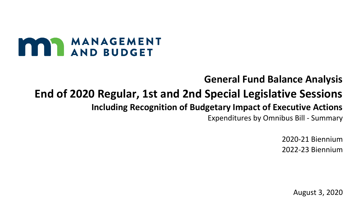# MANAGEMENT

## **General Fund Balance Analysis**

## **End of 2020 Regular, 1st and 2nd Special Legislative Sessions**

### **Including Recognition of Budgetary Impact of Executive Actions**

Expenditures by Omnibus Bill - Summary

2020-21 Biennium 2022-23 Biennium

August 3, 2020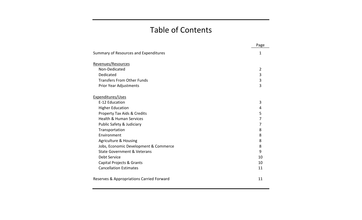#### Table of Contents

|                                           | Page           |
|-------------------------------------------|----------------|
| Summary of Resources and Expenditures     | 1              |
| Revenues/Resources                        |                |
| Non-Dedicated                             | $\overline{2}$ |
| Dedicated                                 | 3              |
| <b>Transfers From Other Funds</b>         | 3              |
| Prior Year Adjustments                    | 3              |
| Expenditures/Uses                         |                |
| E-12 Education                            | 3              |
| <b>Higher Education</b>                   | 4              |
| <b>Property Tax Aids &amp; Credits</b>    | 5              |
| <b>Health &amp; Human Services</b>        | 7              |
| Public Safety & Judiciary                 | 7              |
| Transportation                            | 8              |
| Environment                               | 8              |
| <b>Agriculture &amp; Housing</b>          | 8              |
| Jobs, Economic Development & Commerce     | 8              |
| <b>State Government &amp; Veterans</b>    | 9              |
| Debt Service                              | 10             |
| Capital Projects & Grants                 | 10             |
| <b>Cancellation Estimates</b>             | 11             |
| Reserves & Appropriations Carried Forward | 11             |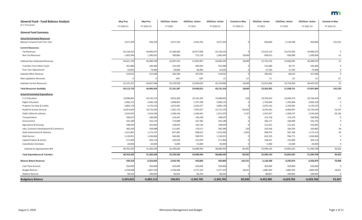| <b>General Fund - Fund Balance Analysis</b> | <b>May Proj</b> | May Proj     | <b>EOS/Exec. Action</b> | <b>EOS/Exec. Action</b> | <b>EOS/Exec. Action</b> | <b>Enacted vs May</b> | <b>EOS/Exec. Action</b> | <b>EOS/Exec. Action</b> | <b>EOS/Exec. Action</b> | <b>Enacted vs May</b> |
|---------------------------------------------|-----------------|--------------|-------------------------|-------------------------|-------------------------|-----------------------|-------------------------|-------------------------|-------------------------|-----------------------|
| (\$ in Thousands)                           | FY 2020-21      | FY 2022-23   | FY 2020                 | FY 2021                 | FY 2020-21              | FY 2020-21            | FY 2022                 | FY 2023                 | FY 2022-23              | FY 2022-23            |
| <b>General Fund Summary</b>                 |                 |              |                         |                         |                         |                       |                         |                         |                         |                       |
| <b>Actual &amp; Estimated Resources</b>     |                 |              |                         |                         |                         |                       |                         |                         |                         |                       |
| <b>Balance Forward From Prior Year</b>      | 3,971,359       | 349,318      | 3,971,359               | 2,910,781               | 3,971,359               |                       | 450,869                 | $-2,136,208$            | 450,869                 | 101,551               |
| <b>Current Resources:</b>                   |                 |              |                         |                         |                         |                       |                         |                         |                         |                       |
| <b>Tax Revenues</b>                         | 43,158,324      | 44,999,075   | 22,180,466              | 20,977,858              | 43,158,324              |                       | 22,023,119              | 22,975,956              | 44,999,075              |                       |
| Non-Tax Revenues                            | 1,463,396       | 1,390,025    | 766,866                 | 715,139                 | 1,482,005               | 18,609                | 699,015                 | 690,989                 | 1,390,004               | $-21$                 |
| Subtotal Non-Dedicated Revenues             | 44,621,720      | 46,389,100   | 22,947,332              | 21,692,997              | 44,640,329              | 18,609                | 22,722,134              | 23,666,945              | 46,389,079              | $-21$                 |
| Transfers From Other Funds                  | 455,986         | 183,460      | 155,936                 | 300,050                 | 455,986                 |                       | 152,689                 | 30,771                  | 183,460                 | 0                     |
| Prior Year Adjustments                      | 63,645          | 74,486       | 26,660                  | 36,985                  | 63,645                  |                       | 37,243                  | 37,243                  | 74,486                  | 0                     |
| Subtotal Other Revenue                      | 519,631         | 257,946      | 182,596                 | 337,035                 | 519,631                 |                       | 189,932                 | 68,014                  | 257,946                 | 0                     |
| <b>New Legislation Revenues</b>             |                 |              | $-342$                  | 330                     | $-12$                   | $-12$                 | $-11$                   | $-10$                   | $-21$                   | $-21$                 |
| <b>Subtotal Current Resources</b>           | 45,141,351      | 46,647,046   | 23,129,928              | 22,030,032              | 45,159,960              | 18,609                | 22,912,066              | 23,734,959              | 46,647,025              | $-21$                 |
| <b>Total Resources Available</b>            | 49,112,710      | 46,996,364   | 27,101,287              | 24,940,813              | 49,131,319              | 18,609                | 23,362,935              | 21,598,751              | 47,097,894              | 101,530               |
| <b>Actual &amp; Estimated Expenditures</b>  |                 |              |                         |                         |                         |                       |                         |                         |                         |                       |
| E-12 Education                              | 19,998,881      | 20,744,714   | 9,853,360               | 10,145,303              | 19,998,663              | $-218$                | 10,295,653              | 10,449,276              | 20,744,929              | 215                   |
| <b>Higher Education</b>                     | 3,406,152       | 3,406,128    | 1,698,853               | 1,707,299               | 3,406,152               |                       | 1,703,064               | 1,703,064               | 3,406,128               |                       |
| Property Tax Aids & Credits                 | 3,883,178       | 4,170,233    | 1,872,901               | 2,010,277               | 3,883,178               |                       | 2,070,142               | 2,100,091               | 4,170,233               |                       |
| Health & Human Services                     | 14,814,403      | 16,710,282   | 7,262,133               | 7,459,437               | 14,721,570              | $-92,833$             | 8,250,432               | 8,469,997               | 16,720,429              | 10,147                |
| Public Safety & Judiciary                   | 2,543,942       | 2,516,434    | 1,284,418               | 1,266,661               | 2,551,079               | 7,137                 | 1,267,027               | 1,269,537               | 2,536,564               | 20,130                |
| Transportation                              | 348,637         | 246,996      | 210,447                 | 138,190                 | 348,637                 |                       | 123,718                 | 123,278                 | 246,996                 | 0                     |
| Environment                                 | 342,180         | 332,276      | 174,898                 | 167,282                 | 342,180                 |                       | 166,177                 | 166,099                 | 332,276                 |                       |
| Agriculture & Housing                       | 248,959         | 242,842      | 128,833                 | 120,126                 | 248,959                 |                       | 121,421                 | 121,421                 | 242,842                 |                       |
| Jobs, Economic Development & Commerce       | 382,264         | 328,988      | 211,867                 | 170,517                 | 382,384                 | 120                   | 162,918                 | 166,164                 | 329,082                 | 94                    |
| State Government & Veterans                 | 1,412,841       | 1,172,237    | 827,681                 | 588,012                 | 1,415,693               | 2,852                 | 584,975                 | 587,238                 | 1,172,213               | $-24$                 |
| Debt Service                                | 1,130,051       | 1,204,966    | 540,081                 | 589,970                 | 1,130,051               |                       | 610,195                 | 594,771                 | 1,204,966               | $\Omega$              |
| Capital Projects & Grants                   | 271,904         | 304,110      | 130,034                 | 141,870                 | 271,904                 |                       | 148,421                 | 155,689                 | 304,110                 |                       |
| <b>Cancellation Estimates</b>               | $-20,000$       | $-20,000$    | $-5,000$                | $-15,000$               | $-20,000$               |                       | $-5,000$                | $-15,000$               | $-20,000$               |                       |
| Subtotal by Appropriation Bill              | 48,763,392      | 51,360,206   | 24,190,506              | 24,489,944              | 48,680,450              | $-82,942$             | 25,499,143              | 25,891,625              | 51,390,768              | 30,562                |
| <b>Total Expenditures &amp; Transfers</b>   | 48,763,392      | 51,360,206   | 24,190,506              | 24,489,944              | 48,680,450              | $-82,942$             | 25,499,143              | 25,891,625              | 51,390,768              | 30,562                |
| <b>Balance Before Reserves</b>              | 349,318         | $-4,363,842$ | 2,910,781               | 450,869                 | 450,869                 | 101,551               | $-2,136,208$            | $-4,292,874$            | $-4,292,874$            | 70,968                |
| Cash Flow Account                           | 350,000         | 350,000      | 350,000                 | 350,000                 | 350,000                 |                       | 350,000                 | 350,000                 | 350,000                 | 0                     |
| <b>Budget Reserve</b>                       | 2,358,698       | 1,867,329    | 2,358,698               | 2,377,319               | 2,377,319               | 18,621                | 1,885,950               | 1,885,950               | 1,885,950               | 18,621                |
| <b>Stadium Reserve</b>                      | 66,255          | 100,942      | 56,052                  | 66,255                  | 66,255                  |                       | 80,827                  | 100,942                 | 100,942                 | 0                     |
| <b>Budgetary Balance</b>                    | $-2,425,635$    | $-6,682,113$ | 146,031                 | $-2,342,705$            | $-2,342,705$            | 82,930                | $-4,452,985$            | $-6,629,766$            | $-6,629,766$            | 52,347                |

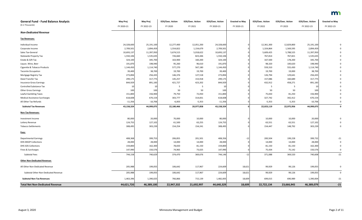| <b>General Fund - Fund Balance Analysis</b> | <b>May Proj</b> | <b>May Proj</b> | <b>EOS/Exec. Action</b> | <b>EOS/Exec. Action</b> | <b>EOS/Exec. Action</b> | <b>Enacted vs May</b> | <b>EOS/Exec. Action</b> | <b>EOS/Exec. Action</b> | <b>EOS/Exec. Action</b> | <b>Enacted vs May</b> |
|---------------------------------------------|-----------------|-----------------|-------------------------|-------------------------|-------------------------|-----------------------|-------------------------|-------------------------|-------------------------|-----------------------|
| (\$ in Thousands)                           | FY 2020-21      | FY 2022-23      | FY 2020                 | FY 2021                 | FY 2020-21              | FY 2020-21            | FY 2022                 | FY 2023                 | FY 2022-23              | FY 2022-23            |
| <b>Non-Dedicated Revenue</b>                |                 |                 |                         |                         |                         |                       |                         |                         |                         |                       |
| <b>Tax Revenues:</b>                        |                 |                 |                         |                         |                         |                       |                         |                         |                         |                       |
| Individual Income                           | 24,328,600      | 25,191,100      | 12,277,400              | 12,051,200              | 24,328,600              |                       | 12,361,300              | 12,829,800              | 25,191,100              |                       |
| Corporate Income                            | 2,709,501       | 2,894,459       | 1,554,822               | 1,154,679               | 2,709,501               |                       | 1,324,864               | 1,569,595               | 2,894,459               |                       |
| Sales Tax-General                           | 10,693,137      | 11,397,950      | 5,674,515               | 5,018,622               | 10,693,137              |                       | 5,609,425               | 5,788,525               | 11,397,950              |                       |
| <b>Statewide Property Tax</b>               | 1,550,106       | 1,535,635       | 726,660                 | 823,446                 | 1,550,106               |                       | 767,814                 | 767,821                 | 1,535,635               |                       |
| Estate & Gift Tax                           | 324,100         | 345,700         | 163,900                 | 160,200                 | 324,100                 |                       | 167,500                 | 178,200                 | 345,700                 |                       |
| Liquor, Wine, Beer                          | 191,870         | 198,940         | 95,260                  | 96,610                  | 191,870                 |                       | 98,320                  | 100,620                 | 198,940                 |                       |
| Cigarette & Tobacco Products                | 1,144,450       | 1,114,740       | 577,270                 | 567,180                 | 1,144,450               |                       | 559,310                 | 555,430                 | 1,114,740               |                       |
| <b>Taconite Occupation</b>                  | 39,400          | 38,700          | 19,700                  | 19,700                  | 39,400                  |                       | 19,700                  | 19,000                  | 38,700                  |                       |
| Mortgage Registry Tax                       | 273,894         | 256,435         | 146,376                 | 127,518                 | 273,894                 |                       | 126,794                 | 129,641                 | 256,435                 |                       |
| Deed Transfer Tax                           | 299,175         | 317,775         | 145,257                 | 153,918                 | 299,175                 |                       | 157,086                 | 160,689                 | 317,775                 |                       |
| <b>Insurance Gross Earnings</b>             | 844,929         | 891,183         | 421,727                 | 423,202                 | 844,929                 |                       | 432,912                 | 458,271                 | 891,183                 |                       |
| Controlled Substance Tax                    | 10              | 10              | - 5                     |                         | 10                      |                       |                         |                         |                         |                       |
| <b>Other Gross Earnings</b>                 | 100             | 100             | 50                      | 50                      | 100                     |                       | 50                      | 50                      | 100                     |                       |
| <b>Lawful Gambling Taxes</b>                | 151,800         | 156,900         | 79,750                  | 72,050                  | 151,800                 |                       | 75,650                  | 81,250                  | 156,900                 |                       |
| <b>Medical Assistance Surcharges</b>        | 618,608         | 670,154         | 303,777                 | 314,831                 | 618,608                 |                       | 327,742                 | 342,412                 | 670,154                 |                       |
| All Other Tax Refunds                       | $-11,356$       | $-10,706$       | $-6,003$                | $-5,353$                | $-11,356$               |                       | $-5,353$                | $-5,353$                | $-10,706$               | 0                     |
| <b>Subtotal Tax Revenues</b>                | 43,158,324      | 44,999,075      | 22,180,466              | 20,977,858              | 43,158,324              |                       | 22,023,119              | 22,975,956              | 44,999,075              | 0                     |
| <b>Non-Tax Revenues:</b>                    |                 |                 |                         |                         |                         |                       |                         |                         |                         |                       |
| Investment Income                           | 80,000          | 20,000          | 70,000                  | 10,000                  | 80,000                  |                       | 10,000                  | 10,000                  | 20,000                  |                       |
| Lottery Revenue                             | 124,755         | 127,102         | 61,500                  | 63,255                  | 124,755                 |                       | 63,551                  | 63,551                  | 127,102                 |                       |
| <b>Tobacco Settlements</b>                  | 308,495         | 303,239         | 154,254                 | 154,241                 | 308,495                 |                       | 154,447                 | 148,792                 | 303,239                 |                       |
| Fees:                                       |                 |                 |                         |                         |                         |                       |                         |                         |                         |                       |
| <b>Departmental Earnings</b>                | 408,368         | 399,753         | 206,855                 | 201,501                 | 408,356                 | $-12$                 | 200,504                 | 199,228                 | 399,732                 | $-21$                 |
| <b>DHS MSOP Collections</b>                 | 28,000          | 28,000          | 14,000                  | 14,000                  | 28,000                  |                       | 14,000                  | 14,000                  | 28,000                  |                       |
| <b>DHS SOS Collections</b>                  | 159,800         | 162,300         | 78,650                  | 81,150                  | 159,800                 |                       | 81,150                  | 81,150                  | 162,300                 |                       |
| Fines & Surcharges                          | 147,990         | 150,576         | 74,965                  | 73,025                  | 147,990                 |                       | 75,434                  | 75,142                  | 150,576                 |                       |
| Subtotal Fees                               | 744,158         | 740,629         | 374,470                 | 369,676                 | 744,146                 | $-12$                 | 371,088                 | 369,520                 | 740,608                 | $-21$                 |
| <b>Other Non-Dedicated Revenue:</b>         |                 |                 |                         |                         |                         |                       |                         |                         |                         |                       |
| All Other Non-Dedicated Revenue             | 205,988         | 199,055         | 106,642                 | 117,967                 | 224,609                 | 18,621                | 99,929                  | 99,126                  | 199,055                 | 0                     |
| Subtotal Other Non-Dedicated Revenue        | 205,988         | 199,055         | 106,642                 | 117,967                 | 224,609                 | 18,621                | 99,929                  | 99,126                  | 199,055                 | 0                     |
| <b>Subtotal Non-Tax Revenues</b>            | 1,463,396       | 1,390,025       | 766,866                 | 715,139                 | 1,482,005               | 18,609                | 699,015                 | 690,989                 | 1,390,004               | $-21$                 |
| <b>Total Net Non-Dedicated Revenue</b>      | 44,621,720      | 46,389,100      | 22,947,332              | 21,692,997              | 44,640,329              | 18,609                | 22,722,134              | 23,666,945              | 46,389,079              | $-21$                 |

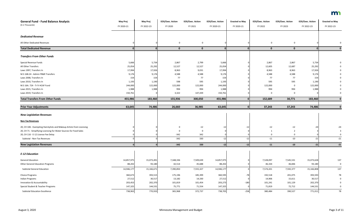| <b>General Fund - Fund Balance Analysis</b><br>(\$ in Thousands)      | <b>May Proj</b> | May Proj   | <b>EOS/Exec. Action</b> | <b>EOS/Exec. Action</b> | <b>EOS/Exec. Action</b> | <b>Enacted vs May</b> | <b>EOS/Exec. Action</b> | <b>EOS/Exec. Action</b> | <b>EOS/Exec. Action</b> | <b>Enacted vs May</b> |
|-----------------------------------------------------------------------|-----------------|------------|-------------------------|-------------------------|-------------------------|-----------------------|-------------------------|-------------------------|-------------------------|-----------------------|
|                                                                       | FY 2020-21      | FY 2022-23 | FY 2020                 | FY 2021                 | FY 2020-21              | FY 2020-21            | FY 2022                 | FY 2023                 | FY 2022-23              | FY 2022-23            |
| <b>Dedicated Revenue</b>                                              |                 |            |                         |                         |                         |                       |                         |                         |                         |                       |
| All Other Dedicated Revenues                                          |                 |            | 0                       | $\mathbf 0$             | ∩                       |                       | $\mathsf 0$             | $\mathbf 0$             |                         |                       |
| <b>Total Dedicated Revenue</b>                                        |                 | $\Omega$   | $\mathbf{0}$            | $\mathbf 0$             | $\Omega$                | $\Omega$              | $\mathbf 0$             | $\mathbf{0}$            | $\Omega$                | $\mathbf{0}$          |
| <b>Transfers From Other Funds</b>                                     |                 |            |                         |                         |                         |                       |                         |                         |                         |                       |
| Special Revenue Funds                                                 | 5,666           | 5,734      | 2,867                   | 2,799                   | 5,666                   |                       | 2,867                   | 2,867                   | 5,734                   |                       |
| All Other Transfers                                                   | 25,054          | 25,292     | 12,527                  | 12,527                  | 25,054                  |                       | 12,605                  | 12,687                  | 25,292                  |                       |
| Laws 1997, Transfers In                                               | 17,994          | 17,926     | 8,963                   | 9,031                   | 17,994                  |                       | 8,963                   | 8,963                   | 17,926                  |                       |
| M.S 16B.24 - Admin FR&R Transfers                                     | 9,176           | 9,176      | 4,588                   | 4,588                   | 9,176                   |                       | 4,588                   | 4,588                   | 9,176                   |                       |
| Laws 2008, Transfers In                                               | 154             | 154        | 77                      | 77                      | 154                     |                       | 77                      | 77                      | 154                     |                       |
| Laws 2010, Transfers In                                               | 1,193           | 1,190      | 598                     | 595                     | 1,193                   |                       | 595                     | 595                     | 1,190                   |                       |
| M.S 16A. 724 - Tr fr HCAF Fund                                        | 244,000         | 122,000    | 122,000                 | 122,000                 | 244,000                 |                       | 122,000                 | 0                       | 122,000                 |                       |
| Laws 2015, Transfers In                                               | 1,988           | 1,988      | 994                     | 994                     | 1,988                   |                       | 994                     | 994                     | 1,988                   |                       |
| Laws 2019, Transfers In                                               | 150,761         |            | 3,322                   | 147,439                 | 150,761                 |                       | 0                       | 0                       |                         |                       |
| <b>Total Transfers From Other Funds</b>                               | 455,986         | 183,460    | 155,936                 | 300,050                 | 455,986                 |                       | 152,689                 | 30,771                  | 183,460                 |                       |
|                                                                       |                 |            |                         |                         |                         |                       |                         |                         |                         |                       |
| <b>Prior Year Adjustments</b>                                         | 63,645          | 74,486     | 26,660                  | 36,985                  | 63,645                  |                       | 37,243                  | 37,243                  | 74,486                  |                       |
| <b>New Legislation Revenues</b>                                       |                 |            |                         |                         |                         |                       |                         |                         |                         |                       |
| <b>Non-Tax Revenues</b>                                               |                 |            |                         |                         |                         |                       |                         |                         |                         |                       |
| 20, CH 106 - Exempting Hairstylists and Makeup Artists from Licensing |                 |            | $\Omega$                | $-12$                   | $-12$                   | $-12$                 | $-12$                   | $-12$                   | $-24$                   | $-24$                 |
| 20, CH 71 - Simplifying Licensing for Water Sources for Food Sales    |                 |            |                         | 0                       |                         |                       |                         |                         |                         |                       |
| 20, CH 116 - E-12 License Fee Delay                                   |                 |            | $-342$                  | 342                     |                         |                       |                         | $\Omega$                |                         |                       |
| Subtotal - Non-Tax Revenues                                           |                 |            | $-342$                  | 330                     | $-12$                   | $-12$                 | $\textbf{-11}$          | $-10$                   | $-21$                   | $-21$                 |
| <b>New Legislation Revenues</b>                                       | ΩI              |            | $-342$                  | 330                     | $-12$                   | $-12$                 | $-11$                   | $-10$                   | $-21$                   | $-21$                 |
|                                                                       |                 |            |                         |                         |                         |                       |                         |                         |                         |                       |
| <b>E-12 Education</b>                                                 |                 |            |                         |                         |                         |                       |                         |                         |                         |                       |
| <b>General Education</b>                                              | 14,857,975      | 15,073,491 | 7,348,336               | 7,509,639               | 14,857,975              |                       | 7,528,097               | 7,545,531               | 15,073,628              | 137                   |
| <b>Other General Education Programs</b>                               | 88,202          | 93,180     | 42,514                  | 45,688                  | 88,202                  |                       | 46,334                  | 46,846                  | 93,180                  | 0                     |
| <b>Subtotal General Education</b>                                     | 14,946,177      | 15,166,671 | 7,390,850               | 7,555,327               | 14,946,177              |                       | 7,574,431               | 7,592,377               | 15,166,808              | 137                   |
| <b>Choice Programs</b>                                                | 360,673         | 393,515    | 175,196                 | 185,399                 | 360,595                 | $-78$                 | 192,518                 | 201,075                 | 393,593                 | 78                    |
| <b>Indian Programs</b>                                                | 27,512          | 30,517     | 13,182                  | 14,330                  | 27,512                  |                       | 14,906                  | 15,611                  | 30,517                  |                       |
| Innovation & Accountability                                           | 203,453         | 202,370    | 101,819                 | 101,454                 | 203,273                 | $-180$                | 101,241                 | 101,129                 | 202,370                 |                       |
| Special Student & Teacher Programs                                    | 147,325         | 144,531    | 75,771                  | 71,554                  | 147,325                 |                       | 71,819                  | 72,712                  | 144,531                 |                       |
| <b>Subtotal Education Excellence</b>                                  | 738,963         | 770,933    | 365,968                 | 372,737                 | 738,705                 | $-258$                | 380,484                 | 390,527                 | 771,011                 | 78                    |

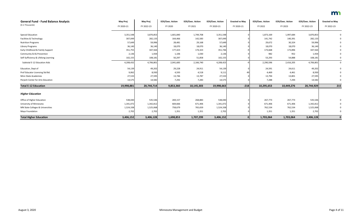| <b>General Fund - Fund Balance Analysis</b> | May Proj   | <b>May Proj</b> | <b>EOS/Exec. Action</b> | <b>EOS/Exec. Action</b> | <b>EOS/Exec. Action</b> | <b>Enacted vs May</b> | <b>EOS/Exec. Action</b> | <b>EOS/Exec. Action</b> | <b>EOS/Exec. Action</b> | <b>Enacted vs May</b> |
|---------------------------------------------|------------|-----------------|-------------------------|-------------------------|-------------------------|-----------------------|-------------------------|-------------------------|-------------------------|-----------------------|
| (\$ in Thousands)                           | FY 2020-21 | FY 2022-23      | FY 2020                 | FY 2021                 | FY 2020-21              | FY 2020-21            | FY 2022                 | FY 2023                 | FY 2022-23              | FY 2022-23            |
| <b>Special Education</b>                    | 3,351,548  | 3,870,853       | 1,601,840               | 1,749,708               | 3,351,548               |                       | 1,873,169               | 1,997,684               | 3,870,853               |                       |
| Facilities & Technology                     | 307,049    | 282,133         | 164,466                 | 142,583                 | 307,049                 |                       | 141,742                 | 140,391                 | 282,133                 |                       |
| <b>Nutrition Programs</b>                   | 57,649     | 59,996          | 28,481                  | 29,168                  | 57,649                  |                       | 29,672                  | 30,324                  | 59,996                  |                       |
| Library Programs                            | 36,140     | 36,140          | 18,070                  | 18,070                  | 36,140                  |                       | 18,070                  | 18,070                  | 36,140                  |                       |
| Early Childhood & Family Support            | 351,755    | 347,564         | 177,423                 | 174,323                 | 351,746                 |                       | 173,668                 | 173,896                 | 347,564                 |                       |
| Community Ed & Prevention                   | 2,136      | 1,934           | 1,106                   | 1,030                   | 2,136                   |                       | 982                     | 952                     | 1,934                   |                       |
| Self-Sufficiency & Lifelong Learning        | 102,155    | 108,181         | 50,297                  | 51,858                  | 102,155                 |                       | 53,293                  | 54,888                  | 108,181                 |                       |
| Subtotal E-12 Education Aids                | 4,208,432  | 4,706,801       | 2,041,683               | 2,166,740               | 4,208,423               |                       | 2,290,596               | 2,416,205               | 4,706,801               | $\mathbf 0$           |
| Education, Dept of                          | 54,139     | 49,202          | 29,228                  | 24,911                  | 54,139                  |                       | 24,591                  | 24,611                  | 49,202                  |                       |
| Prof Educator Licensing Std Bd.             | 9,062      | 8,930           | 4,593                   | 4,518                   | 9,111                   |                       | 4,469                   | 4,461                   | 8,930                   |                       |
| <b>Minn State Academies</b>                 | 27,533     | 27,595          | 13,746                  | 13,787                  | 27,533                  |                       | 13,794                  | 13,801                  | 27,595                  |                       |
| Perpich Center for Arts Education           | 14,575     | 14,582          | 7,292                   | 7,283                   | 14,575                  |                       | 7,288                   | 7,294                   | 14,582                  |                       |
| <b>Total E-12 Education</b>                 | 19,998,881 | 20,744,714      | 9,853,360               | 10,145,303              | 19,998,663              | $-218$                | 10,295,653              | 10,449,276              | 20,744,929              | 215                   |
| <b>Higher Education</b>                     |            |                 |                         |                         |                         |                       |                         |                         |                         |                       |
| Office of Higher Education                  | 538,040    | 535,546         | 269,157                 | 268,883                 | 538,040                 |                       | 267,773                 | 267,773                 | 535,546                 |                       |
| University of Minnesota                     | 1,341,072  | 1,342,812       | 669,666                 | 671,406                 | 1,341,072               |                       | 671,406                 | 671,406                 | 1,342,812               |                       |
| MN State Colleges & Universities            | 1,524,338  | 1,525,068       | 758,679                 | 765,659                 | 1,524,338               |                       | 762,534                 | 762,534                 | 1,525,068               |                       |
| Mayo Foundation                             | 2,702      | 2,702           | 1,351                   | 1,351                   | 2,702                   |                       | 1,351                   | 1,351                   | 2,702                   |                       |
| <b>Total Higher Education</b>               | 3,406,152  | 3,406,128       | 1,698,853               | 1,707,299               | 3,406,152               | $\mathbf{0}$          | 1,703,064               | 1,703,064               | 3,406,128               | $\mathbf 0$           |

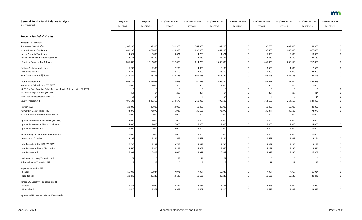| <b>General Fund - Fund Balance Analysis</b><br>(\$ in Thousands)      | May Proj<br>FY 2020-21 | <b>May Proj</b><br>FY 2022-23 | <b>EOS/Exec. Action</b><br>FY 2020 | <b>EOS/Exec. Action</b><br>FY 2021 | <b>EOS/Exec. Action</b><br>FY 2020-21 | <b>Enacted vs May</b><br>FY 2020-21 | <b>EOS/Exec. Action</b><br>FY 2022 | <b>EOS/Exec. Action</b><br>FY 2023 | <b>EOS/Exec. Action</b><br>FY 2022-23 | <b>Enacted vs May</b><br>FY 2022-23 |
|-----------------------------------------------------------------------|------------------------|-------------------------------|------------------------------------|------------------------------------|---------------------------------------|-------------------------------------|------------------------------------|------------------------------------|---------------------------------------|-------------------------------------|
| <b>Property Tax Aids &amp; Credits</b>                                |                        |                               |                                    |                                    |                                       |                                     |                                    |                                    |                                       |                                     |
| <b>Property Tax Refunds:</b>                                          |                        |                               |                                    |                                    |                                       |                                     |                                    |                                    |                                       |                                     |
| <b>Homestead Credit Refund</b>                                        | 1,107,200              | 1,199,300                     | 542,300                            | 564,900                            | 1,107,200                             |                                     | 590,700                            | 608,600                            | 1,199,300                             |                                     |
| Renters Property Tax Refund                                           | 461,100                | 477,400                       | 228,300                            | 232,800                            | 461,100                               |                                     | 237,400                            | 240,000                            | 477,400                               |                                     |
| Special Property Tax Refund                                           | 14,321                 | 10,000                        | 9,621                              | 4,700                              | 14,321                                |                                     | 5,000                              | 5,000                              | 10,000                                |                                     |
| Sustainable Forest Incentive Payments                                 | 24,187                 | 26,180                        | 11,857                             | 12,330                             | 24,187                                |                                     | 12,830                             | 13,350                             | 26,180                                |                                     |
| Subtotal Property Tax Refunds                                         | 1,606,808              | 1,712,880                     | 792,078                            | 814,730                            | 1,606,808                             |                                     | 845,930                            | 866,950                            | 1,712,880                             | 0                                   |
| <b>Political Contribution Refunds</b>                                 | 6,200                  | 7,500                         | 2,200                              | 4,000                              | 6,200                                 |                                     | 3,500                              | 4,000                              | 7,500                                 |                                     |
| Tax Refund Interest                                                   | 36,700                 | 22,900                        | 24,300                             | 12,400                             | 36,700                                |                                     | 11,900                             | 11,000                             | 22,900                                |                                     |
| Local Government Aid (City Aid)                                       | 1,017,729              | 1,128,796                     | 456,376                            | 561,353                            | 1,017,729                             |                                     | 564,398                            | 564,398                            | 1,128,796                             |                                     |
| County Program Aid                                                    | 494,174                | 527,925                       | 233,958                            | 260,216                            | 494,174                               |                                     | 263,971                            | 263,954                            | 527,925                               |                                     |
| MMB Public Defender Aid (TR OUT)                                      | 1,000                  | 1,000                         | 500                                | 500                                | 1,000                                 |                                     | 500                                | 500                                | 1,000                                 |                                     |
| 03-20 Gov Rec - Board of Public Defense, Public Defender Aid (TR OUT) |                        |                               | $\Omega$                           | 0                                  |                                       |                                     |                                    |                                    |                                       |                                     |
| MMB Local Impact Notes (TR OUT)                                       | 414                    | 414                           | 207                                | 207                                | 414                                   |                                     | 207                                | 207                                | 414                                   |                                     |
| MDE Local Impact Notes (TR OUT)                                       | 14                     | 14                            | $\overline{7}$                     | $\overline{7}$                     | 14                                    |                                     | $\overline{7}$                     |                                    |                                       |                                     |
| County Program Aid                                                    | 495,602                | 529,353                       | 234,672                            | 260,930                            | 495,602                               |                                     | 264,685                            | 264,668                            | 529,353                               | $\mathbf 0$                         |
| Township Aid                                                          | 20,000                 | 20,000                        | 10,000                             | 10,000                             | 20,000                                |                                     | 10,000                             | 10,000                             | 20,000                                |                                     |
| Payment in Lieu of Taxes - PILT                                       | 72,079                 | 72,979                        | 35,927                             | 36,152                             | 72,079                                |                                     | 36,377                             | 36,602                             | 72,979                                |                                     |
| Aquatic Invasive Species Prevention Aid                               | 20,000                 | 20,000                        | 10,000                             | 10,000                             | 20,000                                |                                     | 10,000                             | 10,000                             | 20,000                                |                                     |
| Riparian Protection Aid to BWSR (TR OUT)                              | 2,000                  | 2,000                         | 1,000                              | 1,000                              | 2,000                                 |                                     | 1,000                              | 1,000                              | 2,000                                 |                                     |
| Riparian Protection Aid Local Distribution                            | 14,000                 | 14,000                        | 7,000                              | 7,000                              | 14,000                                |                                     | 7,000                              | 7,000                              | 14,000                                |                                     |
| <b>Riparian Protection Aid</b>                                        | 16,000                 | 16,000                        | 8,000                              | 8,000                              | 16,000                                |                                     | 8,000                              | 8,000                              | 16,000                                | 0                                   |
| Indian Family Out-Of-Home Placement Aid                               | 10,000                 | 10,000                        | 5,000                              | 5,000                              | 10,000                                |                                     | 5,000                              | 5,000                              | 10,000                                | 0                                   |
| Casino Aid to Counties                                                | 3,194                  | 3,194                         | 1,597                              | 1,597                              | 3,194                                 |                                     | 1,597                              | 1,597                              | 3,194                                 |                                     |
| State Taconite Aid to IRRR (TR OUT)                                   | 7,736                  | 8,282                         | 3,723                              | 4,013                              | 7,736                                 |                                     | 4,087                              | 4,195                              | 8,282                                 |                                     |
| State Taconite Aid Local Distribution                                 | 8,656                  | 8,526                         | 4,297                              | 4,359                              | 8,656                                 |                                     | 4,291                              | 4,235                              | 8,526                                 |                                     |
| State Taconite Aid                                                    | 16,392                 | 16,808                        | 8,020                              | 8,372                              | 16,392                                |                                     | 8,378                              | 8,430                              | 16,808                                | 0                                   |
| Production Property Transition Aid                                    | 77                     |                               | 53                                 | 24                                 | 77                                    |                                     | 0                                  | $\mathbf 0$                        |                                       |                                     |
| <b>Utility Valuation Transition Aid</b>                               |                        | 23                            | -5                                 | $\overline{\mathbf{3}}$            |                                       |                                     | $11\,$                             | 12                                 | 23                                    |                                     |
| <b>Disparity Reduction Aid</b>                                        |                        |                               |                                    |                                    |                                       |                                     |                                    |                                    |                                       |                                     |
| School                                                                | 15,938                 | 15,934                        | 7,971                              | 7,967                              | 15,938                                |                                     | 7,967                              | 7,967                              | 15,934                                |                                     |
| Non-School                                                            | 20,246                 | 20,246                        | 10,123                             | 10,123                             | 20,246                                |                                     | 10,123                             | 10,123                             | 20,246                                |                                     |
| <b>Border City Disparity Reduction Credit</b>                         |                        |                               |                                    |                                    |                                       |                                     |                                    |                                    |                                       |                                     |
| School                                                                | 5,371                  | 5,920                         | 2,534                              | 2,837                              | 5,371                                 |                                     | 2,926                              | 2,994                              | 5,920                                 |                                     |
| Non-School                                                            | 21,416                 | 23,577                        | 9,959                              | 11,457                             | 21,416                                |                                     | 11,678                             | 11,899                             | 23,577                                |                                     |
| Agricultural Homestead Market Value Credit                            |                        |                               |                                    |                                    |                                       |                                     |                                    |                                    |                                       |                                     |

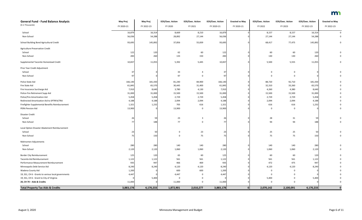| <b>General Fund - Fund Balance Analysis</b>         | May Proj   | May Proj   | <b>EOS/Exec. Action</b> | <b>EOS/Exec. Action</b> | <b>EOS/Exec. Action</b> | <b>Enacted vs May</b> | <b>EOS/Exec. Action</b> | <b>EOS/Exec. Action</b> | <b>EOS/Exec. Action</b> | <b>Enacted vs May</b> |
|-----------------------------------------------------|------------|------------|-------------------------|-------------------------|-------------------------|-----------------------|-------------------------|-------------------------|-------------------------|-----------------------|
| (\$ in Thousands)                                   | FY 2020-21 | FY 2022-23 | FY 2020                 | FY 2021                 | FY 2020-21              | FY 2020-21            | FY 2022                 | FY 2023                 | FY 2022-23              | FY 2022-23            |
| School                                              | 16,879     | 16,314     | 8,669                   | 8,210                   | 16,879                  |                       | 8,157                   | 8,157                   | 16,314                  | $\mathbf 0$           |
| Non-School                                          | 56,036     | 54,288     | 28,892                  | 27,144                  | 56,036                  |                       | 27,144                  | 27,144                  | 54,288                  | 0                     |
| School Building Bond Agricultural Credit            | 93,695     | 145,892    | 37,856                  | 55,839                  | 93,695                  |                       | 68,417                  | 77,475                  | 145,892                 |                       |
| <b>Agriculture Preservation Credit</b>              |            |            |                         |                         |                         |                       |                         |                         |                         |                       |
| School                                              | 122        | 120        | 62                      | 60                      | 122                     |                       | 60                      | 60                      | 120                     |                       |
| Non-School                                          | 283        | 260        | 133                     | 150                     | 283                     |                       | 130                     | 130                     | 260                     |                       |
| Supplemental Taconite Homestead Credit              | 10,837     | 11,055     | 5,392                   | 5,445                   | 10,837                  |                       | 5,500                   | 5,555                   | 11,055                  | 0                     |
| Prior Year Credit Adjustment                        |            |            |                         |                         |                         |                       |                         |                         |                         |                       |
| School                                              | 37         |            | 33                      | 4                       | 37                      |                       | 0                       | 0                       |                         |                       |
| Non-School                                          | 97         |            | 97                      | $\mathbf 0$             | 97                      |                       | $\Omega$                | $\Omega$                |                         |                       |
| Police State Aid                                    | 166,140    | 181,430    | 81,240                  | 84,900                  | 166,140                 |                       | 88,720                  | 92,710                  | 181,430                 |                       |
| Fire State Aid                                      | 61,845     | 65,570     | 30,445                  | 31,400                  | 61,845                  |                       | 32,310                  | 33,260                  | 65,570                  |                       |
| Fire Insurance Surcharge Aid                        | 7,910      | 8,640      | 3,780                   | 4,130                   | 7,910                   |                       | 4,260                   | 4,380                   | 8,640                   |                       |
| Police-Fire Retirement Supp Aid                     | 31,000     | 31,000     | 15,500                  | 15,500                  | 31,000                  |                       | 15,500                  | 15,500                  | 31,000                  |                       |
| Police/Fire Amortization Aid                        | 5,458      | 5,458      | 2,729                   | 2,729                   | 5,458                   |                       | 2,729                   | 2,729                   | 5,458                   |                       |
| Redirected Amortization Aid to SPTRFA/TRA           | 4,188      | 4,188      | 2,094                   | 2,094                   | 4,188                   |                       | 2,094                   | 2,094                   | 4,188                   |                       |
| Firefighter Supplemental Benefits Reimbursement     | 1,321      | 1,232      | 705                     | 616                     | 1,321                   |                       | 616                     | 616                     | 1,232                   |                       |
| PERA Pension Aid                                    | 13,900     |            | 13,900                  | $\mathbf{0}$            | 13,900                  |                       | $\mathbf 0$             | $\mathbf 0$             |                         |                       |
| Disaster Credit                                     |            |            |                         |                         |                         |                       |                         |                         |                         |                       |
| School                                              | 26         | 59         | 23                      | $\overline{\mathbf{3}}$ | 26                      |                       | 28                      | 31                      | 59                      |                       |
| Non-School                                          | 77         | 188        | 77                      | $\mathbf 0$             | 77                      |                       | 94                      | 94                      | 188                     |                       |
| Local Option Disaster Abatement Reimbursement       |            |            |                         |                         |                         |                       |                         |                         |                         |                       |
| School                                              | 23         | 50         | 0                       | 23                      | 23                      |                       | 25                      | 25                      | 50                      |                       |
| Non-School                                          | 75         | 150        | $\Omega$                | 75                      | <b>75</b>               |                       | 75                      | 75                      | 150                     |                       |
| Mahnomen Adjustments                                |            |            |                         |                         |                         |                       |                         |                         |                         |                       |
| School                                              | 280        | 280        | 140                     | 140                     | 280                     |                       | 140                     | 140                     | 280                     |                       |
| Non-School                                          | 2,120      | 2,120      | 1,060                   | 1,060                   | 2,120                   |                       | 1,060                   | 1,060                   | 2,120                   |                       |
| <b>Border City Reimbursement</b>                    | 125        | 120        | 65                      | 60                      | 125                     |                       | 60                      | 60                      | 120                     |                       |
| Taconite Aid Reimbursement                          | 1,122      | 1,122      | 561                     | 561                     | 1,122                   |                       | 561                     | 561                     | 1,122                   |                       |
| Performance Measurement Reimbursement               | 935        | 947        | 466                     | 469                     | 935                     |                       | 472                     | 475                     | 947                     |                       |
| Minneapolis Debt Service Aid                        | 8,240      | 8,240      | 4,120                   | 4,120                   | 8,240                   |                       | 4,120                   | 4,120                   | 8,240                   |                       |
| Wadena County Aid                                   | 1,200      |            | 600                     | 600                     | 1,200                   |                       | 0                       |                         |                         |                       |
| 19, SS1, CH 6 - Grants to various local governments | 4,447      |            | 4,447                   | 0                       | 4,447                   |                       | $\Omega$                |                         |                         |                       |
| 19, SS1, CH 6 - Grant to City of Virginia           |            | 5,400      | $\mathbf 0$             | $\mathbf 0$             |                         |                       | 5,400                   | 0                       | 5,400                   |                       |
| 20, CH 70 - Aids & Credits                          | 11,000     |            | 11,000                  | $\mathbf 0$             | 11,000                  |                       | 0                       | $\Omega$                |                         |                       |
| <b>Total Property Tax Aids &amp; Credits</b>        | 3,883,178  | 4,170,233  | 1,872,901               | 2,010,277               | 3,883,178               | $\overline{0}$        | 2,070,142               | 2,100,091               | 4,170,233               | $\mathbf{0}$          |

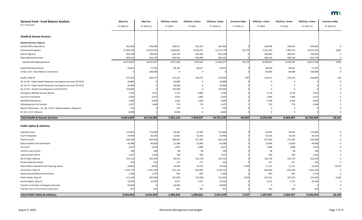| <b>General Fund - Fund Balance Analysis</b>                     | May Proj   | <b>May Proj</b> | <b>EOS/Exec. Action</b> | <b>EOS/Exec. Action</b> | <b>EOS/Exec. Action</b> | <b>Enacted vs May</b> | <b>EOS/Exec. Action</b> | <b>EOS/Exec. Action</b> | <b>EOS/Exec. Action</b> | <b>Enacted vs May</b> |
|-----------------------------------------------------------------|------------|-----------------|-------------------------|-------------------------|-------------------------|-----------------------|-------------------------|-------------------------|-------------------------|-----------------------|
| (\$ in Thousands)                                               | FY 2020-21 | FY 2022-23      | FY 2020                 | FY 2021                 | FY 2020-21              | FY 2020-21            | FY 2022                 | FY 2023                 | FY 2022-23              | FY 2022-23            |
| <b>Health &amp; Human Services</b>                              |            |                 |                         |                         |                         |                       |                         |                         |                         |                       |
|                                                                 |            |                 |                         |                         |                         |                       |                         |                         |                         |                       |
| <b>Human Services, Dept of</b>                                  |            |                 |                         |                         |                         |                       |                         |                         |                         |                       |
| <b>Central Office Operations</b>                                | 491,958    | 478,485         | 246,617                 | 245,341                 | 491,958                 |                       | 238,098                 | 240,387                 | 478,485                 |                       |
| <b>Forecasted Programs</b>                                      | 12,263,356 | 14,542,931      | 5,844,821               | 6,326,357               | 12,171,178              | $-92,178$             | 7,167,633               | 7,385,279               | 14,552,912              | 9,981                 |
| <b>Grant Programs</b>                                           | 810,108    | 769,963         | 433,763                 | 376,345                 | 810,108                 |                       | 384,987                 | 384,976                 | 769,963                 | 0                     |
| <b>State Operated Services</b>                                  | 809,433    | 816,278         | 402,435                 | 406,998                 | 809,433                 |                       | 408,139                 | 408,139                 | 816,278                 | 0                     |
| <b>Subtotal DHS Appropriations</b>                              | 14,374,855 | 16,607,657      | 6,927,636               | 7,355,041               | 14,282,677              | $-92,178$             | 8,198,857               | 8,418,781               | 16,617,638              | 9,981                 |
| <b>Federal Reimbursement</b>                                    | $-76,812$  | $-77,976$       | $-38,195$               | $-38,617$               | $-76,812$               |                       | $-39,039$               | $-38,937$               | $-77,976$               |                       |
| 19 SS1, CH 9 - Blue Ribbon Commission                           |            | $-100,000$      |                         | 0                       |                         |                       | $-50,000$               | $-50,000$               | $-100,000$              |                       |
| Health, Dept of                                                 | 271,019    | 264,715         | 135,327                 | 135,037                 | 270,364                 | $-655$                | 132,671                 | 132,210                 | 264,881                 | 166                   |
| 20, CH 66 - Public Health Response Contingency Account (TR OUT) | 20,889     |                 | 20,889                  | 0                       | 20,889                  |                       |                         |                         |                         |                       |
| 20, CH 70 - Public Health Response Contingency Account (TR OUT) | 50,000     |                 | 50,000                  | 0                       | 50,000                  |                       |                         |                         |                         |                       |
| 20, CH 70 - Health Care Response Fund (TR OUT)                  | 150,000    |                 | 150,000                 | $\Omega$                | 150,000                 |                       |                         |                         |                         |                       |
| <b>Emergency Medical Services Board</b>                         | 7,556      | 7,552           | 3,747                   | 3,809                   | 7,556                   |                       | 3,776                   | 3,776                   | 7,552                   |                       |
| Council on Disability                                           | 2,020      | 2,012           | 1,014                   | 1,006                   | 2,020                   |                       | 1,006                   | 1,006                   | 2,012                   |                       |
| MH/MR Ombudsman                                                 | 5,069      | 4,876           | 2,631                   | 2,438                   | 5,069                   |                       | 2,438                   | 2,438                   | 4,876                   |                       |
| <b>Ombudsperson for Families</b>                                | 1,437      | 1,446           | 714                     | 723                     | 1,437                   |                       | 723                     | 723                     | 1,446                   |                       |
| Board of Pharmacy - 19, SS1, Ch 63 - Opiate Epidemic Response   | 370        |                 | 370                     | -0                      | 370                     |                       |                         |                         |                         |                       |
| 19, SS1, CH 9 - Mnsure                                          | 8,000      |                 | 8,000                   | 0                       | 8,000                   |                       |                         | $\Omega$                |                         |                       |
| <b>Total Health &amp; Human Services</b>                        | 14,814,403 | 16,710,282      | 7,262,133               | 7,459,437               | 14,721,570              | $-92,833$             | 8,250,432               | 8,469,997               | 16,720,429              | 10,147                |
|                                                                 |            |                 |                         |                         |                         |                       |                         |                         |                         |                       |
| <b>Public Safety &amp; Judiciary</b>                            |            |                 |                         |                         |                         |                       |                         |                         |                         |                       |
| Supreme Court                                                   | 113,862    | 113,004         | 56,367                  | 57,495                  | 113,862                 |                       | 56,502                  | 56,502                  | 113,004                 |                       |
| Court of Appeals                                                | 25,994     | 26,326          | 12,831                  | 13,163                  | 25,994                  |                       | 13,163                  | 13,163                  | 26,326                  |                       |
| <b>District Courts</b>                                          | 626,204    | 634,404         | 309,002                 | 317,202                 | 626,204                 |                       | 317,202                 | 317,202                 | 634,404                 |                       |
| State Guardian Ad Litem Board                                   | 43,386     | 44,000          | 21,386                  | 22,000                  | 43,386                  |                       | 22,000                  | 22,000                  | 44,000                  |                       |
| <b>Tax Court</b>                                                | 3,615      | 3,616           | 1,807                   | 1,808                   | 3,615                   |                       | 1,808                   | 1,808                   | 3,616                   |                       |
| Uniform Laws Comm                                               | 196        | 196             | 98                      | 98                      | 196                     |                       | 98                      | 98                      | 196                     |                       |
| Judicial Stnds, Bd on                                           | 1,267      | 1,018           | 758                     | 509                     | 1,267                   |                       | 509                     | 509                     | 1,018                   |                       |
| <b>Bd of Public Defense</b>                                     | 197,552    | 202,356         | 96,374                  | 101,178                 | 197,552                 |                       | 101,178                 | 101,178                 | 202,356                 |                       |
| Private Detective Board                                         | 554        | 554             | 277                     | 277                     | 554                     |                       | 277                     | 277                     | 554                     |                       |
| Peace Officer Standards and Training, Board                     | 20,692     | 8,692           | 10,346                  | 14,110                  | 24,456                  | 3,764                 | 11,131                  | 11,131                  | 22,262                  | 13,570                |
| Corrections, Dept of                                            | 1,235,723  | 1,261,766       | 611,119                 | 624,604                 | 1,235,723               |                       | 629,628                 | 632,138                 | 1,261,766               |                       |
| <b>Sentencing Guidelines Commission</b>                         | 1,366      | 1,374           | 679                     | 687                     | 1,366                   |                       | 687                     | 687                     | 1,374                   |                       |
| Public Safety, Dept of                                          | 212,559    | 207,944         | 107,994                 | 107,938                 | 215,932                 | 3,373                 | 107,252                 | 107,252                 | 214,504                 | 6,560                 |
| Human Rights, Dept of                                           | 10,042     | 10,262          | 4,911                   | 5,131                   | 10,042                  |                       | 5,131                   | 5,131                   | 10,262                  |                       |
| Transfer to Disaster Contingency Account                        | 50,000     |                 | 50,000                  | 0                       | 50,000                  |                       |                         |                         |                         |                       |
| Transfer out to Community Justice Acct.                         | 922        | 922             | 461                     | 461                     | 922                     |                       | 461                     | 461                     | 922                     |                       |
| <b>Total Public Safety &amp; Judiciary</b>                      | 2,543,942  | 2,516,434       | 1,284,418               | 1,266,661               | 2,551,079               | 7,137                 | 1,267,027               | 1,269,537               | 2,536,564               | 20,130                |

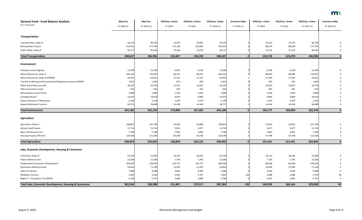| <b>General Fund - Fund Balance Analysis</b>                    | May Proj   | <b>May Proj</b> | <b>EOS/Exec. Action</b> | <b>EOS/Exec. Action</b> | <b>EOS/Exec. Action</b> | <b>Enacted vs May</b> | <b>EOS/Exec. Action</b> | <b>EOS/Exec. Action</b> | <b>EOS/Exec. Action</b> | <b>Enacted vs May</b> |
|----------------------------------------------------------------|------------|-----------------|-------------------------|-------------------------|-------------------------|-----------------------|-------------------------|-------------------------|-------------------------|-----------------------|
| (\$ in Thousands)                                              | FY 2020-21 | FY 2022-23      | FY 2020                 | FY 2021                 | FY 2020-21              | FY 2020-21            | FY 2022                 | FY 2023                 | FY 2022-23              | FY 2022-23            |
|                                                                |            |                 |                         |                         |                         |                       |                         |                         |                         |                       |
| <b>Transportation</b>                                          |            |                 |                         |                         |                         |                       |                         |                         |                         |                       |
| Transportation, Dept of                                        | 42,510     | 38,750          | 22,819                  | 19,691                  | 42,510                  |                       | 19,375                  | 19,375                  | 38,750                  |                       |
| Metropolitan Council                                           | 216,010    | 177,700         | 113,190                 | 102,820                 | 216,010                 |                       | 89,070                  | 88,630                  | 177,700                 |                       |
| Public Safety, Dept of                                         | 90,117     | 30,546          | 74,438                  | 15,679                  | 90,117                  |                       | 15,273                  | 15,273                  | 30,546                  |                       |
| <b>Total Transportation</b>                                    | 348,637    | 246,996         | 210,447                 | 138,190                 | 348,637                 |                       | 123,718                 | 123,278                 | 246,996                 | $\mathbf 0$           |
| <b>Environment</b>                                             |            |                 |                         |                         |                         |                       |                         |                         |                         |                       |
| <b>Pollution Control Agency</b>                                | 13,398     | 12,396          | 6,874                   | 6,524                   | 13,398                  |                       | 6,198                   | 6,198                   | 12,396                  |                       |
| Natural Resources, Dept of                                     | 185,432    | 176,967         | 96,197                  | 89,235                  | 185,432                 |                       | 88,483                  | 88,484                  | 176,967                 |                       |
| Natural Resources, Dept of (OPENS)                             | 54,947     | 54,811          | 27,472                  | 27,475                  | 54,947                  |                       | 27,444                  | 27,367                  | 54,811                  |                       |
| Transfer to Mining and Environmental Regulatory Account (OPEN) | 1,822      | 1,904           | 873                     | 949                     | 1,822                   |                       | 953                     | 951                     | 1,904                   |                       |
| Water & Soil Resources Bd                                      | 30,187     | 29,744          | 15,315                  | 14,872                  | 30,187                  |                       | 14,872                  | 14,872                  | 29,744                  |                       |
| <b>MN Conservation Corps</b>                                   | 910        | 910             | 455                     | 455                     | 910                     |                       | 455                     | 455                     | 910                     |                       |
| Metropolitan Council Parks                                     | 5,080      | 5,080           | 2,540                   | 2,540                   | 5,080                   |                       | 2,540                   | 2,540                   | 5,080                   |                       |
| Zoological Board                                               | 19,474     | 19,618          | 9,665                   | 9,809                   | 19,474                  |                       | 9,809                   | 9,809                   | 19,618                  |                       |
| Science Museum of Minnesota                                    | 2,158      | 2,158           | 1,079                   | 1,079                   | 2,158                   |                       | 1,079                   | 1,079                   | 2,158                   |                       |
| <b>Explore Minnesota Tourism</b>                               | 28,772     | 28,688          | 14,428                  | 14,344                  | 28,772                  |                       | 14,344                  | 14,344                  | 28,688                  |                       |
| <b>Total Environment</b>                                       | 342,180    | 332,276         | 174,898                 | 167,282                 | 342,180                 | $\Omega$              | 166,177                 | 166,099                 | 332,276                 | $\Omega$              |
|                                                                |            |                 |                         |                         |                         |                       |                         |                         |                         |                       |
| <b>Agriculture</b>                                             |            |                 |                         |                         |                         |                       |                         |                         |                         |                       |
| Agriculture, Dept of                                           | 108,867    | 107,706         | 55,059                  | 53,808                  | 108,867                 |                       | 53,853                  | 53,853                  | 107,706                 |                       |
| Animal Health Board                                            | 11,710     | 11,754          | 5,833                   | 5,877                   | 11,710                  |                       | 5,877                   | 5,877                   | 11,754                  |                       |
| Agric Util Research Inst                                       | 7,786      | 7,786           | 3,893                   | 3,893                   | 7,786                   |                       | 3,893                   | 3,893                   | 7,786                   |                       |
| Housing Finance (TR OUT)                                       | 120,596    | 115,596         | 64,048                  | 56,548                  | 120,596                 |                       | 57,798                  | 57,798                  | 115,596                 |                       |
| <b>Total Agriculture</b>                                       | 248,959    | 242,842         | 128,833                 | 120,126                 | 248,959                 | $\overline{0}$        | 121,421                 | 121,421                 | 242,842                 | $\bf{0}$              |
| Jobs, Economic Development, Housing & Commerce                 |            |                 |                         |                         |                         |                       |                         |                         |                         |                       |
| Commerce, Dept of                                              | 52,528     | 52,860          | 26,476                  | 26,052                  | 52,528                  |                       | 26,754                  | 26,106                  | 52,860                  |                       |
| <b>Public Utilities Comm</b>                                   | 15,586     | 15,586          | 7,793                   | 7,793                   | 15,586                  |                       | 7,793                   | 7,793                   | 15,586                  |                       |
| Employment & Economic Development                              | 260,509    | 169,876         | 154,772                 | 105,737                 | 260,509                 |                       | 84,938                  | 84,938                  | 169,876                 |                       |
| <b>Destination Medical Center</b>                              | 34,963     | 71,149          | 13,493                  | 21,470                  | 34,963                  |                       | 33,649                  | 37,500                  | 71,149                  |                       |
| Labor & Industry                                               | 7,688      | 8,488           | 3,844                   | 3,844                   | 7,688                   |                       | 4,244                   | 4,244                   | 8,488                   |                       |
| <b>Mediation Services</b>                                      | 5,282      | 5,282           | 2,641                   | 2,761                   | 5,402                   | 120                   | 2,688                   | 2,688                   | 5,376                   |                       |
| Region 3 - Occupation Tax (OPEN)                               | 5,708      | 5,747           | 2,848                   | 2,860                   | 5,708                   |                       | 2,852                   | 2,895                   | 5,747                   | 0                     |
| Total Jobs, Economic Development, Housing & Commerce           | 382,264    | 328,988         | 211,867                 | 170,517                 | 382,384                 | 120                   | 162,918                 | 166,164                 | 329,082                 | 94                    |

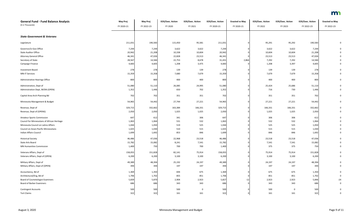| <b>General Fund - Fund Balance Analysis</b><br>(\$ in Thousands) | <b>May Proj</b><br>FY 2020-21 | <b>May Proj</b><br>FY 2022-23 | <b>EOS/Exec. Action</b><br>FY 2020 | <b>EOS/Exec. Action</b><br>FY 2021 | <b>EOS/Exec. Action</b><br>FY 2020-21 | <b>Enacted vs May</b><br>FY 2020-21 | <b>EOS/Exec. Action</b><br>FY 2022 | <b>EOS/Exec. Action</b><br>FY 2023 | <b>EOS/Exec. Action</b><br>FY 2022-23 | <b>Enacted vs May</b><br>FY 2022-23 |
|------------------------------------------------------------------|-------------------------------|-------------------------------|------------------------------------|------------------------------------|---------------------------------------|-------------------------------------|------------------------------------|------------------------------------|---------------------------------------|-------------------------------------|
|                                                                  |                               |                               |                                    |                                    |                                       |                                     |                                    |                                    |                                       |                                     |
| <b>State Government &amp; Veterans</b>                           |                               |                               |                                    |                                    |                                       |                                     |                                    |                                    |                                       |                                     |
| Legislature                                                      | 211,031                       | 190,583                       | 115,450                            | 95,581                             | 211,031                               |                                     | 95,291                             | 95,292                             | 190,583                               |                                     |
| Governor/Lt Gov Office                                           | 7,244                         | 7,244                         | 3,622                              | 3,622                              | 7,244                                 |                                     | 3,622                              | 3,622                              | 7,244                                 |                                     |
| <b>State Auditor Office</b>                                      | 20,942                        | 21,208                        | 10,338                             | 10,604                             | 20,942                                |                                     | 10,604                             | 10,604                             | 21,208                                |                                     |
| <b>Attorney General Office</b>                                   | 46,341                        | 47,026                        | 22,828                             | 23,513                             | 46,341                                |                                     | 23,513                             | 23,513                             | 47,026                                |                                     |
| Secretary of State                                               | 28,567                        | 14,584                        | 22,753                             | 8,678                              | 31,431                                | 2,864                               | 7,292                              | 7,292                              | 14,584                                |                                     |
| Campaign Finance                                                 | 4,683                         | 4,605                         | 1,208                              | 3,475                              | 4,683                                 |                                     | 1,208                              | 3,397                              | 4,605                                 |                                     |
| <b>Investment Board</b>                                          | 278                           | 278                           | 139                                | 139                                | 278                                   |                                     | 139                                | 139                                | 278                                   |                                     |
| <b>MN-IT Services</b>                                            | 15,359                        | 15,358                        | 7,680                              | 7,679                              | 15,359                                |                                     | 7,679                              | 7,679                              | 15,358                                |                                     |
| Administrative Hearings Office                                   | 800                           | 800                           | 400                                | 400                                | 800                                   |                                     | 400                                | 400                                | 800                                   |                                     |
| Administration, Dept of                                          | 51,080                        | 51,110                        | 26,085                             | 24,995                             | 51,080                                |                                     | 25,424                             | 25,686                             | 51,110                                |                                     |
| Administration Dept, WCRA (OPEN)                                 | 1,352                         | 1,446                         | 650                                | 702                                | 1,352                                 |                                     | 716                                | 730                                | 1,446                                 |                                     |
| Capitol Area Arch Planning Bd                                    | 702                           | 702                           | 351                                | 351                                | 702                                   |                                     | 351                                | 351                                | 702                                   |                                     |
| Minnesota Management & Budget                                    | 54,965                        | 54,442                        | 27,744                             | 27,221                             | 54,965                                |                                     | 27,221                             | 27,221                             | 54,442                                |                                     |
| Revenue, Dept of                                                 | 329,715                       | 332,662                       | 163,384                            | 166,331                            | 329,715                               |                                     | 166,331                            | 166,331                            | 332,662                               |                                     |
| Revenue, Dept of (OPENS)                                         | 2,050                         | 2,050                         | 1,025                              | 1,025                              | 2,050                                 |                                     | 1,025                              | 1,025                              | 2,050                                 |                                     |
| <b>Amateur Sports Commission</b>                                 | 647                           | 612                           | 341                                | 306                                | 647                                   |                                     | 306                                | 306                                | 612                                   |                                     |
| Council for Minnesotans of African Heritage                      | 1,063                         | 1,064                         | 531                                | 532                                | 1,063                                 |                                     | 532                                | 532                                | 1,064                                 |                                     |
| Minnesota Council on Latino Affairs                              | 1,044                         | 1,050                         | 519                                | 525                                | 1,044                                 |                                     | 525                                | 525                                | 1,050                                 |                                     |
| <b>Council on Asian-Pacific Minnesotans</b>                      | 1,025                         | 1,030                         | 510                                | 515                                | 1,025                                 |                                     | 515                                | 515                                | 1,030                                 |                                     |
| <b>Indian Affairs Council</b>                                    | 1,699                         | 1,692                         | 853                                | 846                                | 1,699                                 |                                     | 846                                | 846                                | 1,692                                 |                                     |
| <b>Historical Society</b>                                        | 46,486                        | 47,036                        | 22,968                             | 23,518                             | 46,486                                |                                     | 23,518                             | 23,518                             | 47,036                                |                                     |
| State Arts Board                                                 | 15,782                        | 15,082                        | 8,241                              | 7,541                              | 15,782                                |                                     | 7,541                              | 7,541                              | 15,082                                |                                     |
| <b>MN Humanities Commission</b>                                  | 1,400                         | 750                           | 700                                | 700                                | 1,400                                 |                                     | 375                                | 375                                | 750                                   |                                     |
| Veterans Affairs, Dept of                                        | 158,055                       | 151,828                       | 82,141                             | 75,914                             | 158,055                               |                                     | 75,914                             | 75,914                             | 151,828                               |                                     |
| Veterans Affairs, Dept of (OPEN)                                 | 6,200                         | 6,200                         | 3,100                              | 3,100                              | 6,200                                 |                                     | 3,100                              | 3,100                              | 6,200                                 |                                     |
| Military Affairs, Dept of                                        | 49,389                        | 48,394                        | 25,192                             | 24,197                             | 49,389                                |                                     | 24,197                             | 24,197                             | 48,394                                |                                     |
| Military Affairs, Dept of (OPEN)                                 | 394                           | 394                           | 197                                | 197                                | 394                                   |                                     | 197                                | 197                                | 394                                   |                                     |
| Accountancy, Bd of                                               | 1,369                         | 1,350                         | 694                                | 675                                | 1,369                                 |                                     | 675                                | 675                                | 1,350                                 |                                     |
| Architectural/Eng, Bd of                                         | 1,706                         | 1,702                         | 855                                | 851                                | 1,706                                 |                                     | 851                                | 851                                | 1,702                                 |                                     |
| <b>Board of Cosmetologist Examiners</b>                          | 5,839                         | 5,870                         | 2,904                              | 2,923                              | 5,827                                 | $-12$                               | 2,923                              | 2,923                              | 5,846                                 | $-24$                               |
| <b>Board of Barber Examiners</b>                                 | 686                           | 686                           | 343                                | 343                                | 686                                   |                                     | 343                                | 343                                | 686                                   | 0                                   |
| <b>Contingent Accounts</b>                                       | 500                           | 500                           | 500                                | $\mathbf 0$                        | 500                                   |                                     | 500                                | 0                                  | 500                                   |                                     |
| <b>Tort Claims</b>                                               | 322                           | 322                           | 161                                | 161                                | 322                                   |                                     | 161                                | 161                                | 322                                   | 0                                   |

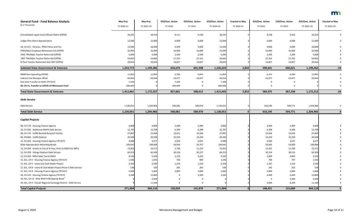| <b>General Fund - Fund Balance Analysis</b><br>(\$ in Thousands) | <b>May Proj</b> | <b>May Proj</b><br>FY 2022-23 | <b>EOS/Exec. Action</b><br>FY 2020 | <b>EOS/Exec. Action</b> | <b>EOS/Exec. Action</b> | <b>Enacted vs May</b> | <b>EOS/Exec. Action</b> | <b>EOS/Exec. Action</b> | <b>EOS/Exec. Action</b> | <b>Enacted vs May</b><br>FY 2022-23 |
|------------------------------------------------------------------|-----------------|-------------------------------|------------------------------------|-------------------------|-------------------------|-----------------------|-------------------------|-------------------------|-------------------------|-------------------------------------|
|                                                                  | FY 2020-21      |                               |                                    | FY 2021                 | FY 2020-21              | FY 2020-21            | FY 2022                 | FY 2023                 | FY 2022-23              |                                     |
| Consolidated Leg & Const Officers Retire (OPEN)                  | 18,241          | 18,310                        | 9,111                              | 9,130                   | 18,241                  |                       | 9,148                   | 9,162                   | 18,310                  |                                     |
| Judges Plan Direct Appropriation                                 | 12,000          | 12,000                        | 6,000                              | 6,000                   | 12,000                  |                       | 6,000                   | 6,000                   | 12,000                  |                                     |
| 18, CH 211 - Pension, PERA Police and Fire                       | 13,500          | 18,000                        | 4,500                              | 9,000                   | 13,500                  |                       | 9,000                   | 9,000                   | 18,000                  |                                     |
| PERA/Mpls Employee Retirement Aid (OPEN)                         | 32,000          | 32,000                        | 16,000                             | 16,000                  | 32,000                  |                       | 16,000                  | 16,000                  | 32,000                  |                                     |
| 1993 TRA/Mpls Teacher Retire Aid (OPEN)                          | 5,000           | 5,000                         | 2,500                              | 2,500                   | 5,000                   |                       | 2,500                   | 2,500                   | 5,000                   |                                     |
| 1997 TRA/Mpls Teacher Retire Aid (OPEN)                          | 54,662          | 54,662                        | 27,331                             | 27,331                  | 54,662                  |                       | 27,331                  | 27,331                  | 54,662                  |                                     |
| St Paul Teacher Retirement Aid 1997 (OPEN)                       | 29,654          | 29,654                        | 14,827                             | 14,827                  | 29,654                  |                       | 14,827                  | 14,827                  | 29,654                  |                                     |
| <b>Subtotal State Government &amp; Veterans</b>                  | 1,233,772       | 1,199,286                     | 634,676                            | 601,948                 | 1,236,624               | 2,852                 | 598,641                 | 600,621                 | 1,199,262               | $-24$                               |
| MMB Non-Operating (OPEN)                                         | 11,823          | 12,905                        | 5,782                              | 6,041                   | 11,823                  |                       | 6,311                   | 6,594                   | 12,905                  | 0                                   |
| <b>Indirect Cost Receipts Offset</b>                             | $-39,954$       | $-39,954$                     | $-19,977$                          | $-19,977$               | $-39,954$               |                       | $-19,977$               | $-19,977$               | $-39,954$               |                                     |
| One time Transfer to HCAF (TR OUT)                               | 7,200           |                               | 7,200                              | 0                       | 7,200                   |                       |                         |                         |                         |                                     |
| 20, CH 71, Transfer to COVID-19 Minnesota Fund                   | 200,000         |                               | 200,000                            | 0                       | 200,000                 |                       |                         |                         |                         |                                     |
| <b>Total State Government &amp; Veterans</b>                     | 1,412,841       | 1,172,237                     | 827,681                            | 588,012                 | 1,415,693               | 2,852                 | 584,975                 | 587,238                 | 1,172,213               | $-24$                               |
|                                                                  |                 |                               |                                    |                         |                         |                       |                         |                         |                         |                                     |
| <b>Debt Service</b>                                              |                 |                               |                                    |                         |                         |                       |                         |                         |                         |                                     |
| Debt Service                                                     | 1,130,051       | 1,204,966                     | 540,081                            | 589,970                 | 1,130,051               |                       | 610,195                 | 594,771                 | 1,204,966               | 0                                   |
| <b>Total Debt Service</b>                                        | 1,130,051       | 1,204,966                     | 540,081                            | 589,970                 | 1,130,051               |                       | 610,195                 | 594,771                 | 1,204,966               |                                     |
| <b>Capital Projects</b>                                          |                 |                               |                                    |                         |                         |                       |                         |                         |                         |                                     |
| 08, CH 179 - Housing Finance Agency                              | 4,800           | 4,800                         | 2,400                              | 2,400                   | 4,800                   |                       | 2,400                   | 2,400                   | 4,800                   |                                     |
| 14, CH 295 - Additional MHFA Debt Service                        | 12,797          | 12,794                        | 6,399                              | 6,398                   | 12,797                  |                       | 6,398                   | 6,396                   | 12,794                  |                                     |
| 08, CH 179 - UofM Biomed Research Facility                       | 27,847          | 27,849                        | 13,921                             | 13,926                  | 27,847                  |                       | 13,926                  | 13,923                  | 27,849                  |                                     |
| 06, SF2460 - UofM Stadium                                        | 20,500          | 20,500                        | 10,250                             | 10,250                  | 20,500                  |                       | 10,250                  | 10,250                  | 20,500                  |                                     |
| 12, CH 293 - Housing Finance Agency (TR OUT)                     | 4,080           | 4,077                         | 2,039                              | 2,041                   | 4,080                   |                       | 2,040                   | 2,037                   | 4,077                   |                                     |
| <b>State Appropriation Refunding Bonds</b>                       | 109,641         | 108,484                       | 54,934                             | 54,707                  | 109,641                 |                       | 54,645                  | 53,839                  | 108,484                 |                                     |
| 12, CH 299 - Grants to City of St Paul, Pmts to MSFA for MPLS    | 13,953          | 23,271                        | 2,700                              | 11,253                  | 13,953                  |                       | 11,491                  | 11,780                  | 23,271                  |                                     |
| 12, CH 299 - Vikings Stadium Debt Service                        | 60,313          | 60,309                        | 30,156                             | 30,157                  | 60,313                  |                       | 30,154                  | 30,155                  | 60,309                  |                                     |
| 12, CH 299 - MPLS Sales Tax to MSFA                              | 4,543           | 5,503                         | 2,120                              | 2,423                   | 4,543                   |                       | 2,609                   | 2,894                   | 5,503                   |                                     |
| 15, SS1, CH 5 - Housing Finance Agency (TR OUT)                  | 1,596           | 1,593                         | 796                                | 800                     | 1,596                   |                       | 796                     | 797                     | 1,593                   |                                     |
| 15, SS1, CH 5 - Lewis and Clark Water Project                    | 2,504           | 2,500                         | 1,254                              | 1,250                   | 2,504                   |                       | 1,247                   | 1,253                   | 2,500                   |                                     |
| 17, SS1, CH 8 - Lewis & Clark Water Project Phase 3 Debt Service | 530             | 530                           | 265                                | 265                     | 530                     |                       | 265                     | 265                     | 530                     |                                     |
| 17, SS1, CH 8 - Housing Finance Agency (TR OUT)                  | 5,600           | 5,600                         | 2,800                              | 2,800                   | 5,600                   |                       | 2,800                   | 2,800                   | 5,600                   |                                     |
| 18, CH 214 - Housing Finance Agency (TR OUT)                     | 3,200           | 12,800                        |                                    | 3,200                   | 3,200                   |                       | 6,400                   | 6,400                   | 12,800                  |                                     |
| 19, SS1, CH 13 - New MHFA HIB Approp Bond <sup>1</sup>           |                 | 2,400                         |                                    | 0                       |                         |                       | 0                       | 2,400                   | 2,400                   |                                     |
| 19, SS1, CH 6 - Duluth Regional Exchange District - Debt Service |                 | 11,100                        | $\Omega$                           | 0                       |                         |                       | 3,000                   | 8,100                   | 11,100                  |                                     |
| <b>Total Capital Projects</b>                                    | 271,904         | 304,110                       | 130,034                            | 141,870                 | 271,904                 |                       | 148,421                 | 155,689                 | 304,110                 | $\mathbf{0}$                        |